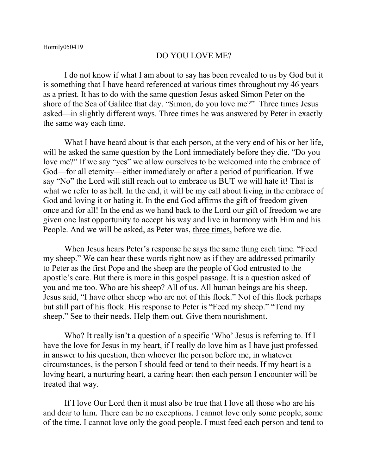## DO YOU LOVE ME?

I do not know if what I am about to say has been revealed to us by God but it is something that I have heard referenced at various times throughout my 46 years as a priest. It has to do with the same question Jesus asked Simon Peter on the shore of the Sea of Galilee that day. "Simon, do you love me?" Three times Jesus asked—in slightly different ways. Three times he was answered by Peter in exactly the same way each time.

What I have heard about is that each person, at the very end of his or her life, will be asked the same question by the Lord immediately before they die. "Do you love me?" If we say "yes" we allow ourselves to be welcomed into the embrace of God—for all eternity—either immediately or after a period of purification. If we say "No" the Lord will still reach out to embrace us BUT we will hate it! That is what we refer to as hell. In the end, it will be my call about living in the embrace of God and loving it or hating it. In the end God affirms the gift of freedom given once and for all! In the end as we hand back to the Lord our gift of freedom we are given one last opportunity to accept his way and live in harmony with Him and his People. And we will be asked, as Peter was, three times, before we die.

When Jesus hears Peter's response he says the same thing each time. "Feed my sheep." We can hear these words right now as if they are addressed primarily to Peter as the first Pope and the sheep are the people of God entrusted to the apostle's care. But there is more in this gospel passage. It is a question asked of you and me too. Who are his sheep? All of us. All human beings are his sheep. Jesus said, "I have other sheep who are not of this flock." Not of this flock perhaps but still part of his flock. His response to Peter is "Feed my sheep." "Tend my sheep." See to their needs. Help them out. Give them nourishment.

Who? It really isn't a question of a specific 'Who' Jesus is referring to. If I have the love for Jesus in my heart, if I really do love him as I have just professed in answer to his question, then whoever the person before me, in whatever circumstances, is the person I should feed or tend to their needs. If my heart is a loving heart, a nurturing heart, a caring heart then each person I encounter will be treated that way.

If I love Our Lord then it must also be true that I love all those who are his and dear to him. There can be no exceptions. I cannot love only some people, some of the time. I cannot love only the good people. I must feed each person and tend to